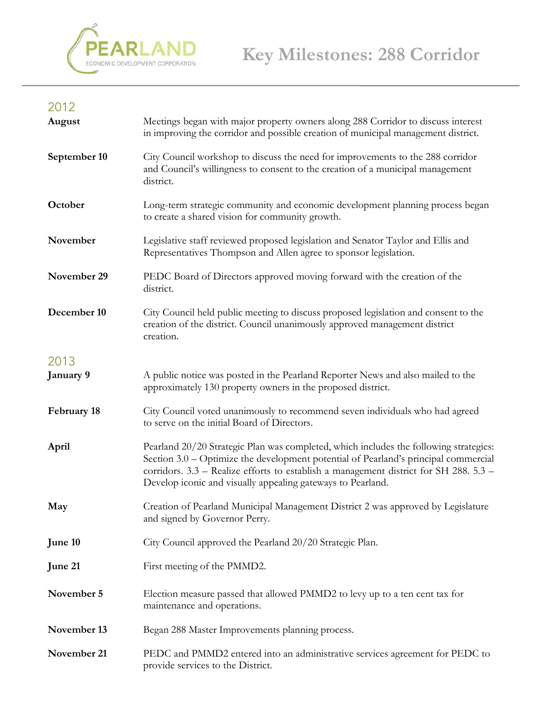

## 2012

| August       | Meetings began with major property owners along 288 Corridor to discuss interest<br>in improving the corridor and possible creation of municipal management district.                                                                                                                                                                |
|--------------|--------------------------------------------------------------------------------------------------------------------------------------------------------------------------------------------------------------------------------------------------------------------------------------------------------------------------------------|
| September 10 | City Council workshop to discuss the need for improvements to the 288 corridor<br>and Council's willingness to consent to the creation of a municipal management<br>district.                                                                                                                                                        |
| October      | Long-term strategic community and economic development planning process began<br>to create a shared vision for community growth.                                                                                                                                                                                                     |
| November     | Legislative staff reviewed proposed legislation and Senator Taylor and Ellis and<br>Representatives Thompson and Allen agree to sponsor legislation.                                                                                                                                                                                 |
| November 29  | PEDC Board of Directors approved moving forward with the creation of the<br>district.                                                                                                                                                                                                                                                |
| December 10  | City Council held public meeting to discuss proposed legislation and consent to the<br>creation of the district. Council unanimously approved management district<br>creation.                                                                                                                                                       |
| 2013         |                                                                                                                                                                                                                                                                                                                                      |
| January 9    | A public notice was posted in the Pearland Reporter News and also mailed to the<br>approximately 130 property owners in the proposed district.                                                                                                                                                                                       |
| February 18  | City Council voted unanimously to recommend seven individuals who had agreed<br>to serve on the initial Board of Directors.                                                                                                                                                                                                          |
| April        | Pearland 20/20 Strategic Plan was completed, which includes the following strategies:<br>Section 3.0 – Optimize the development potential of Pearland's principal commercial<br>corridors. 3.3 - Realize efforts to establish a management district for SH 288. 5.3 -<br>Develop iconic and visually appealing gateways to Pearland. |
| May          | Creation of Pearland Municipal Management District 2 was approved by Legislature<br>and signed by Governor Perry.                                                                                                                                                                                                                    |
| June 10      | City Council approved the Pearland 20/20 Strategic Plan.                                                                                                                                                                                                                                                                             |
| June 21      | First meeting of the PMMD2.                                                                                                                                                                                                                                                                                                          |
| November 5   | Election measure passed that allowed PMMD2 to levy up to a ten cent tax for<br>maintenance and operations.                                                                                                                                                                                                                           |
| November 13  | Began 288 Master Improvements planning process.                                                                                                                                                                                                                                                                                      |
| November 21  | PEDC and PMMD2 entered into an administrative services agreement for PEDC to<br>provide services to the District.                                                                                                                                                                                                                    |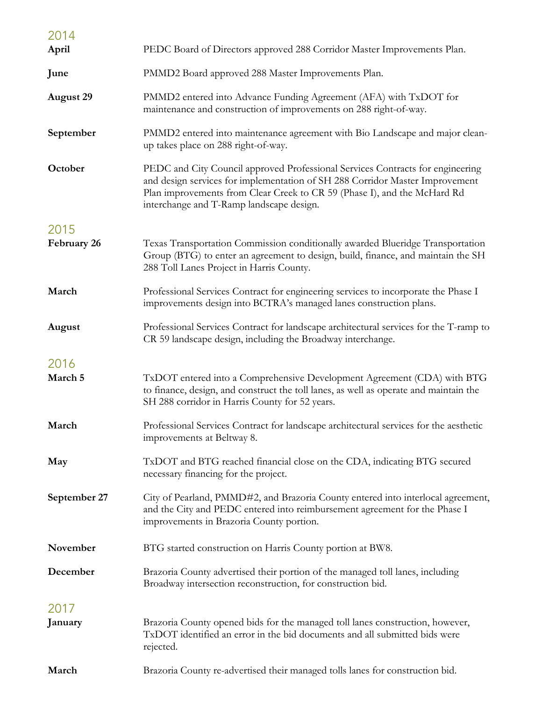| 2014<br>April    | PEDC Board of Directors approved 288 Corridor Master Improvements Plan.                                                                                                                                                                                                                |
|------------------|----------------------------------------------------------------------------------------------------------------------------------------------------------------------------------------------------------------------------------------------------------------------------------------|
| June             | PMMD2 Board approved 288 Master Improvements Plan.                                                                                                                                                                                                                                     |
| <b>August 29</b> | PMMD2 entered into Advance Funding Agreement (AFA) with TxDOT for<br>maintenance and construction of improvements on 288 right-of-way.                                                                                                                                                 |
| September        | PMMD2 entered into maintenance agreement with Bio Landscape and major clean-<br>up takes place on 288 right-of-way.                                                                                                                                                                    |
| October          | PEDC and City Council approved Professional Services Contracts for engineering<br>and design services for implementation of SH 288 Corridor Master Improvement<br>Plan improvements from Clear Creek to CR 59 (Phase I), and the McHard Rd<br>interchange and T-Ramp landscape design. |
| 2015             |                                                                                                                                                                                                                                                                                        |
| February 26      | Texas Transportation Commission conditionally awarded Blueridge Transportation<br>Group (BTG) to enter an agreement to design, build, finance, and maintain the SH<br>288 Toll Lanes Project in Harris County.                                                                         |
| March            | Professional Services Contract for engineering services to incorporate the Phase I<br>improvements design into BCTRA's managed lanes construction plans.                                                                                                                               |
| August           | Professional Services Contract for landscape architectural services for the T-ramp to<br>CR 59 landscape design, including the Broadway interchange.                                                                                                                                   |
| 2016<br>March 5  | TxDOT entered into a Comprehensive Development Agreement (CDA) with BTG<br>to finance, design, and construct the toll lanes, as well as operate and maintain the<br>SH 288 corridor in Harris County for 52 years.                                                                     |
| March            | Professional Services Contract for landscape architectural services for the aesthetic<br>improvements at Beltway 8.                                                                                                                                                                    |
| May              | TxDOT and BTG reached financial close on the CDA, indicating BTG secured<br>necessary financing for the project.                                                                                                                                                                       |
| September 27     | City of Pearland, PMMD#2, and Brazoria County entered into interlocal agreement,<br>and the City and PEDC entered into reimbursement agreement for the Phase I<br>improvements in Brazoria County portion.                                                                             |
| November         | BTG started construction on Harris County portion at BW8.                                                                                                                                                                                                                              |
| December         | Brazoria County advertised their portion of the managed toll lanes, including<br>Broadway intersection reconstruction, for construction bid.                                                                                                                                           |
| 2017             |                                                                                                                                                                                                                                                                                        |
| January          | Brazoria County opened bids for the managed toll lanes construction, however,<br>TxDOT identified an error in the bid documents and all submitted bids were<br>rejected.                                                                                                               |
| March            | Brazoria County re-advertised their managed tolls lanes for construction bid.                                                                                                                                                                                                          |